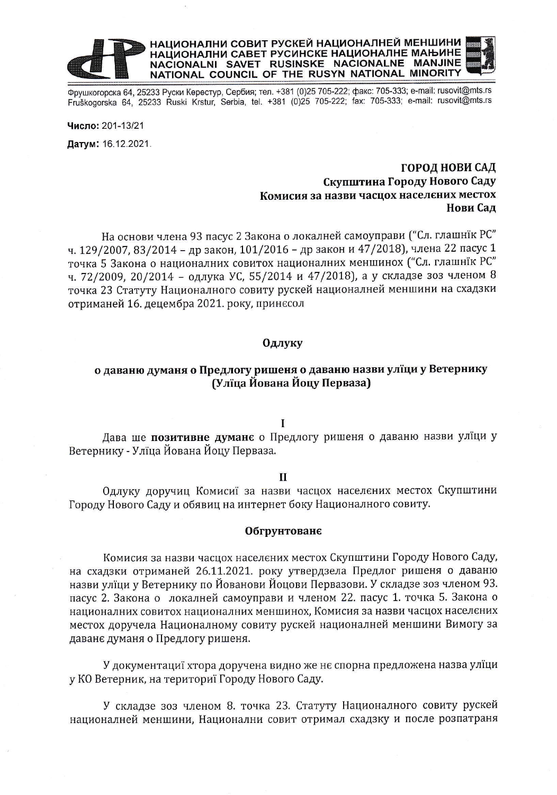# НАЦИОНАЛНИ СОВИТ РУСКЕЙ НАЦИОНАЛНЕЙ МЕНШИНИ HALWOHAJIHU CABET PYCHICKE HALWOHAJIHE MAHAHIE<br>NACIONALNI SAVET RUSINSKE NACIONALNE MANJINE<br>NATIONAL COUNCIL OF THE RUSYN NATIONAL MINORITY

Фрушкогорска 64, 25233 Руски Керестур, Сербия; тел. +381 (0)25 705-222; факс: 705-333; e-mail: rusovit@mts.rs Fruškogorska 64, 25233 Ruski Krstur, Serbia, tel. +381 (0)25 705-222; fax: 705-333; e-mail: rusovit@mts.rs

Число: 201-13/21 Датум: 16.12.2021.

## ГОРОД НОВИ САД Скупштина Городу Нового Саду Комисия за назви часцох населених местох Нови Сад

На основи члена 93 пасус 2 Закона о локалней самоуправи ("Сл. глашнік РС" ч. 129/2007, 83/2014 - др закон, 101/2016 - др закон и 47/2018), члена 22 пасус 1 точка 5 Закона о националних совитох националних меншинох ("Сл. глашнїк РС" ч. 72/2009, 20/2014 - одлука УС, 55/2014 и 47/2018), а у складзе зоз членом 8 точка 23 Статуту Националного совиту рускей националней меншини на схадзки отриманей 16. децембра 2021. року, принесол

#### Одлуку

### о даваню думаня о Предлогу ришеня о даваню назви улїци у Ветернику (Улїца Йована Йоцу Перваза)

#### $\mathbf{I}$

Дава ше позитивне думане о Предлогу ришеня о даваню назви улїци у Ветернику - Улїца Йована Йоцу Перваза.

#### $\mathbf{H}$

Одлуку доручиц Комисиї за назви часцох населених местох Скупштини Городу Нового Саду и обявиц на интернет боку Националного совиту.

#### Обгрунтованє

Комисия за назви часцох населених местох Скупштини Городу Нового Саду, на схадзки отриманей 26.11.2021. року утвердзела Предлог ришеня о даваню назви улїци у Ветернику по Йованови Йоцови Первазови. У складзе зоз членом 93. пасус 2. Закона о локалней самоуправи и членом 22. пасус 1. точка 5. Закона о националних совитох националних меншинох, Комисия за назви часцох населених местох доручела Националному совиту рускей националней меншини Вимогу за даване думаня о Предлогу ришеня.

У документациї хтора доручена видно же нє спорна предложена назва улїци у КО Ветерник, на териториї Городу Нового Саду.

У складзе зоз членом 8. точка 23. Статуту Националного совиту рускей националней меншини, Национални совит отримал схадзку и после розпатраня